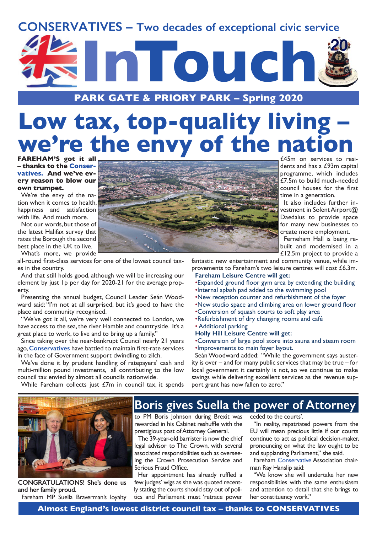## **CONSERVATIVES – Two decades of exceptional civic service**



**PARK GATE & PRIORY PARK – Spring 2020**

## **Low tax, top-quality living – we're the envy of the nation**

**FAREHAM'S got it all – thanks to the Conservatives. And we've every reason to blow our own trumpet.**

We're the envy of the nation when it comes to health, happiness and satisfaction with life. And much more.

Not our words, but those of the latest Halifax survey that rates the Borough the second best place in the UK to live. What's more, we provide

all-round first-class services for one of the lowest council taxes in the country.

And that still holds good, although we will be increasing our element by just 1p per day for 2020-21 for the average property.

Presenting the annual budget, Council Leader Seán Woodward said: "I'm not at all surprised, but it's good to have the place and community recognised.

"We've got it all, we're very well connected to London, we have access to the sea, the river Hamble and countryside. It's a great place to work, to live and to bring up a family.'

Since taking over the near-bankrupt Council nearly 21 years ago, **Conservatives** have battled to maintain first-rate services in the face of Government support dwindling to zilch.

We've done it by prudent handling of ratepayers' cash and multi-million pound investments, all contributing to the low council tax envied by almost all councils nationwide.

While Fareham collects just £7m in council tax, it spends



**CONGRATULATIONS! She's done us and her family proud.**

Fareham MP Suella Braverman's loyalty



£45m on services to residents and has a £93m capital programme, which includes £7.5m to build much-needed council houses for the first time in a generation.

It also includes further investment in Solent Airport@ Daedalus to provide space for many new businesses to create more employment.

Ferneham Hall is being rebuilt and modernised in a £12.5m project to provide a

fantastic new entertainment and community venue, while improvements to Fareham's two leisure centres will cost £6.3m.

### **Fareham Leisure Centre will get:**

- •Expanded ground floor gym area by extending the building •Internal splash pad added to the swimming pool
- •New reception counter and refurbishment of the foyer
- •New studio space and climbing area on lower ground floor
- •Conversion of squash courts to soft play area
- •Refurbishment of dry changing rooms and café
- Additional parking

### **Holly Hill Leisure Centre will get:**

•Conversion of large pool store into sauna and steam room •Improvements to main foyer layout.

Seán Woodward added: "While the government says austerity is over – and for many public services that may be true – for local government it certainly is not, so we continue to make savings while delivering excellent services as the revenue support grant has now fallen to zero."

## **Boris gives Suella the power of Attorney**

to PM Boris Johnson during Brexit was rewarded in his Cabinet reshuffle with the prestigious post of Attorney General.

The 39-year-old barrister is now the chief legal advisor to The Crown, with several associated responsibilities such as overseeing the Crown Prosecution Service and Serious Fraud Office.

Her appointment has already ruffled a few judges' wigs as she was quoted recently stating the courts should stay out of politics and Parliament must 'retrace power

ceded to the courts'.

"In reality, repatriated powers from the EU will mean precious little if our courts continue to act as political decision-maker, pronouncing on what the law ought to be and supplanting Parliament," she said.

Fareham Conservative Association chairman Ray Hanslip said:

"We know she will undertake her new responsibilities with the same enthusiasm and attention to detail that she brings to her constituency work."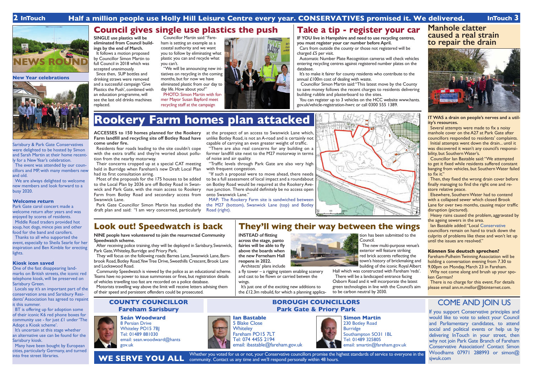**New Year celebrations**

Sarisbury & Park Gate Conservatives were delighted to be hosted by Simon and Sarah Martin at their home recent-

ly for a New Year's celebration.

The event was attended by our councillors and MP, with many members new

and old.

We are always delighted to welcome new members and look forward to a

busy 2020.

**Welcome return**

BT is offering up for adoption some of their iconic K6 red phone boxes for community use - for just  $£1$  under 'The

Park Gate carol concert made a welcome return after years and was enjoyed by scores of residents. Middle Road traders provided hot soup, hot dogs, mince pies and other food for the band and carollers. Thanks to all who supported the event, especially to Sheila Searle for her inspiration and Ben Kimble for erecting

It's uncertain at this stage whether an alternative use can be found for the

lights.

**Kiosk icon saved**

One of the fast disappearing landmarks on British streets, the iconic red telephone kiosk, will be preserved on

Sarisbury Green.

**BOROUGH COUNCILLORS Park Gate & Priory Park** COME AND JOIN US<br> **Park Gate & Priory Park** 

Locals say it's an important part of the conservation area and Sarisbury Residents' Association has agreed to repaint

it this summer.

5 Blake Close **Whiteley** 

Whether you voted for us or not, your Conservative councillors promise the highest standards of service to everyone in the community. Contact us any time and we'll respond personally within 48 hours. **WE SERVE YOU ALL**

Adopt a Kiosk scheme'.

Sarisbury kiosk.

Many have been bought by European cities, particularly Germany, and turned

## **Seán Woodward**

8 Persian Drive Whiteley PO15 7BJ Tel: 01489 881030 email: sean.woodward@hants gov.uk

## **COUNTY COUNCILLOR Fareham Sarisbury**

If you support Conservative principles and would like to vote to select your Council and Parliamentary candidates, to attend social and political events or help us by delivering InTouch in your street, then why not join Park Gate Branch of Fareham Conservative Association? Contact Simon Woodhams 07971 288993 or simon@ sjwuk.com

It follows a motion proposed by Councillor Simon Martin to full Council in 2018 which was accepted unanimously.

# **Ian Bastable**



## **2 InTouch Half a million people use Holly Hill Leisure Centre every year. CONSERVATIVES promised it. We delivered. InTouch 3**

**NEWS ROUND**

## **Look out! Speedwatch is back**

**NINE people have volunteered to join the resurrected Community Speedwatch scheme.**

After receiving police training, they will be deployed in Sarisbury, Swanwick, Park Gate, Whiteley, Burridge and Priory Park.

They will focus on the following roads: Barnes Lane, Swanwick Lane, Barnbrook Road, Botley Road, Yew Tree Drive, Sweethills Crescent, Brook Lane and Lockswood Road.

Community Speedwatch is viewed by the police as an educational scheme. Teams have no power to issue summonses or fines, but registration details of vehicles travelling too fast are recorded on a police database.

Motorists travelling way above the limit will receive letters advising them of their speed and persistent offenders could be prosecuted.



**INSTEAD of flitting across the stage, panto fairies will be able to fly above the boards when** 



**the new Ferneham Hall reopens in 2022.** Architects' plans include a fly tower – a rigging system enabling scenery and cast to be flown or carried betwen the

wings.

tion has been submitted to the

Council. The new multi-purpose venue's exterior will feature striking

red brick accents reflecting the town's history of brickmaking and building of the iconic Royal Albert Hall which was constructed with Fareham 'reds'. There will be a landscaped entrance facing

Initial attempts went down the drain... until it was discovered it wasn't any council's responsibility, but Southern Water's.



It's just one of the exciting new additions to the  $\angle$ 12.3m rebuild, for which a planning applica-

green technologies in line with the Council's aim to be carbon neutral by 2030.

**SINGLE use plastics will be eliminated from Council buildings by the end of March.**

Since then, SUP bottles and drinking straws were removed and a successful campaign 'Give Plastics the Push', combined with an education programme, will see the last old drinks machines replaced.

> Why not come along and brush up your spoken German?

Councillor Martin said: "Fareham is setting an example as a coastal authority and we want you to follow by eliminating what plastic you can and recycle what you can't.

"We will be announcing new initiatives on recycling in the coming months, but for now we have eliminated plastic from our day to day life. How about you?"

PHOTO: Simon Martin with former Mayor Susan Bayford meet recycling staff at the campaign





**IF YOU live in Hampshire and need to use recycling centres, you must register your car number before April.**

Cars from outside the county or those not registered will be charged £5 per visit.

Automatic Number Plate Recognition cameras will check vehicles entering recycling centres against registered number plates on the database.

It's to make it fairer for county residents who contribute to the annual £100m cost of dealing with waste.

 Councillor Simon Martin said: "This latest move by the County to save money follows the recent charges to residents delivering building rubble and plasterboard to the sites.

You can register up to 3 vehicles on the HCC website www.hants. gov.uk/vehicle-registration-hwrc or call 0300 555 1389.

# **Simon Martin**



Burridge Tel: 01489 325805

230 Botley Road Southampton SO31 1BL email: smartin@fareham.gov.uk

## **Rookery Farm homes plan attacked**

**ACCESSES to 150 homes planned for the Rookery Farm landfill and recycling site off Botley Road have come under fire.**

Residents fear roads leading to the site couldn't cope with the extra traffic and they're woried about pollution from the nearby motorway.

Their concerns cropped up at a special CAT meeting held in Burridge when Fareham's new Draft Local Plan had its first consultation airing.

Most of the proposals for the 175 houses to be added to the Local Plan by 2036 are off Botley Road in Swanwick and Park Gate, with the main access to Rookery Farm from Botley Road and secondary access from Swanwick Lane.

Park Gate Councillor Simon Martin has studied the draft plan and said: "I am very concerned, particularly

at the prospect of an access to Swanwick Lane which, unlike Botley Road, is not an A-road and is certainly not capable of carrying an even greater weight of traffic.

"There are also real concerns for any building on a former landfill site next to the M27 motorway in terms of noise and air quality.

"Traffic levels through Park Gate are also very high with frequent congestion.

"If such a proposal were to move ahead, there needs to be a full assessment of local impact and a roundabout on Botley Road would be required at the Rookery Avenue junction. There should definitely be no access open onto Swanwick Lane."

MAP: The Rookery Farm site is sandwiched between the M27 (bottom), Swanwick Lane (top) and Botley Road (right).

## **Manhole clatter caused a real strain to repair the drain**



## **IT WAS a drain on people's nerves and a utility's resources.**

Several attempts were made to fix a noisy manhole cover on the A27 at Park Gate after councillors responded to residents' complaints.

Councillor Ian Bastable said: "We attempted to get it fixed while residents suffered constant banging from vehicles, but Southern Water failed to fix it."

Then, they fixed the wrong drain cover before finally managing to find the right one and restore relative peace.

Elsewhere, Southern Water had to contend with a collapsed sewer which closed Brook Lane for over two months, causing major traffic disruption (pictured).

Heavy rains caused the problem, aggravated by the ageing sewers in the area.

Ian Bastable added: "Local Conservative councillors remain on hand to track down the culprits of problems like these and won't let up until the issues are resolved."

## **Können Sie deutsch sprechen?**

Fareham-Pulheim Twinning Association will be holding a conversation evening from 7.30 to 9.00pm on Monday, March 23 in Fareham.

There is no charge for this event. For details please email ann.m.mellor@btinternet.com.